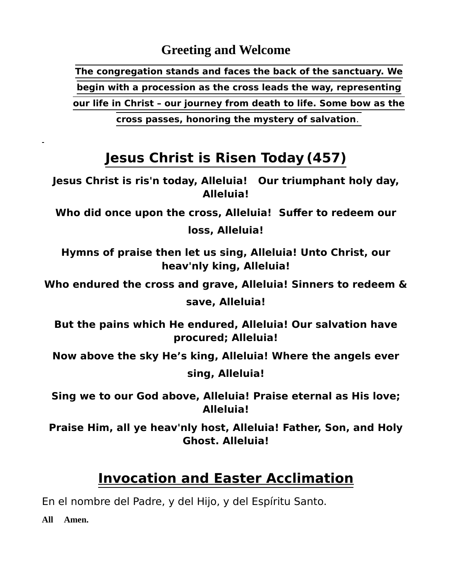### **Greeting and Welcome**

**The congregation stands and faces the back of the sanctuary. We begin with a procession as the cross leads the way, representing our life in Christ – our journey from death to life. Some bow as the cross passes, honoring the mystery of salvation**.

# **Jesus Christ is Risen Today (457)**

**Jesus Christ is ris'n today, Alleluia! Our triumphant holy day, Alleluia!**

**Who did once upon the cross, Alleluia! Suffer to redeem our loss, Alleluia!**

**Hymns of praise then let us sing, Alleluia! Unto Christ, our heav'nly king, Alleluia!**

**Who endured the cross and grave, Alleluia! Sinners to redeem & save, Alleluia!**

**But the pains which He endured, Alleluia! Our salvation have procured; Alleluia!**

**Now above the sky He's king, Alleluia! Where the angels ever sing, Alleluia!**

**Sing we to our God above, Alleluia! Praise eternal as His love; Alleluia!**

**Praise Him, all ye heav'nly host, Alleluia! Father, Son, and Holy Ghost. Alleluia!**

# **Invocation and Easter Acclimation**

En el nombre del Padre, y del Hijo, y del Espíritu Santo.

**All Amen.**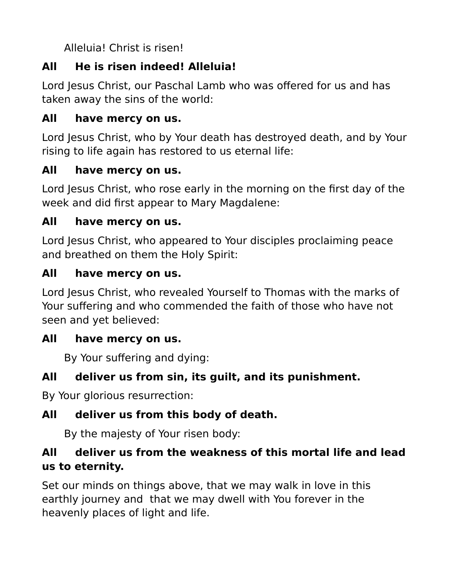Alleluia! Christ is risen!

## **All He is risen indeed! Alleluia!**

Lord Jesus Christ, our Paschal Lamb who was offered for us and has taken away the sins of the world:

### **All have mercy on us.**

Lord Jesus Christ, who by Your death has destroyed death, and by Your rising to life again has restored to us eternal life:

### **All have mercy on us.**

Lord Jesus Christ, who rose early in the morning on the first day of the week and did first appear to Mary Magdalene:

## **All have mercy on us.**

Lord Jesus Christ, who appeared to Your disciples proclaiming peace and breathed on them the Holy Spirit:

### **All have mercy on us.**

Lord Jesus Christ, who revealed Yourself to Thomas with the marks of Your suffering and who commended the faith of those who have not seen and yet believed:

## **All have mercy on us.**

By Your suffering and dying:

# **All deliver us from sin, its guilt, and its punishment.**

By Your glorious resurrection:

## **All deliver us from this body of death.**

By the majesty of Your risen body:

## **All deliver us from the weakness of this mortal life and lead us to eternity.**

Set our minds on things above, that we may walk in love in this earthly journey and that we may dwell with You forever in the heavenly places of light and life.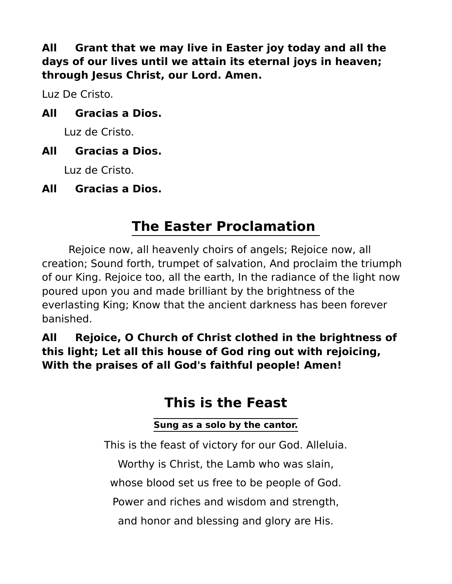**All Grant that we may live in Easter joy today and all the days of our lives until we attain its eternal joys in heaven; through Jesus Christ, our Lord. Amen.** 

Luz De Cristo.

**All Gracias a Dios.**

Luz de Cristo.

**All Gracias a Dios.**

Luz de Cristo.

**All Gracias a Dios.**

# **The Easter Proclamation**

Rejoice now, all heavenly choirs of angels; Rejoice now, all creation; Sound forth, trumpet of salvation, And proclaim the triumph of our King. Rejoice too, all the earth, In the radiance of the light now poured upon you and made brilliant by the brightness of the everlasting King; Know that the ancient darkness has been forever banished.

**All Rejoice, O Church of Christ clothed in the brightness of this light; Let all this house of God ring out with rejoicing, With the praises of all God's faithful people! Amen!**

# **This is the Feast**

### **Sung as a solo by the cantor.**

This is the feast of victory for our God. Alleluia.

Worthy is Christ, the Lamb who was slain,

whose blood set us free to be people of God.

Power and riches and wisdom and strength,

and honor and blessing and glory are His.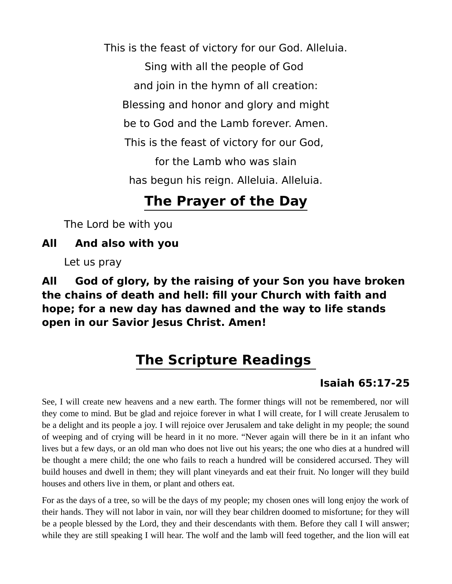This is the feast of victory for our God. Alleluia.

Sing with all the people of God

and join in the hymn of all creation:

Blessing and honor and glory and might

be to God and the Lamb forever. Amen.

This is the feast of victory for our God,

for the Lamb who was slain has begun his reign. Alleluia. Alleluia.

# **The Prayer of the Day**

The Lord be with you

**All And also with you**

Let us pray

**All God of glory, by the raising of your Son you have broken the chains of death and hell: fill your Church with faith and hope; for a new day has dawned and the way to life stands open in our Savior Jesus Christ. Amen!**

# **The Scripture Readings**

#### **Isaiah 65:17-25**

See, I will create new heavens and a new earth. The former things will not be remembered, nor will they come to mind. But be glad and rejoice forever in what I will create, for I will create Jerusalem to be a delight and its people a joy. I will rejoice over Jerusalem and take delight in my people; the sound of weeping and of crying will be heard in it no more. "Never again will there be in it an infant who lives but a few days, or an old man who does not live out his years; the one who dies at a hundred will be thought a mere child; the one who fails to reach a hundred will be considered accursed. They will build houses and dwell in them; they will plant vineyards and eat their fruit. No longer will they build houses and others live in them, or plant and others eat.

For as the days of a tree, so will be the days of my people; my chosen ones will long enjoy the work of their hands. They will not labor in vain, nor will they bear children doomed to misfortune; for they will be a people blessed by the Lord, they and their descendants with them. Before they call I will answer; while they are still speaking I will hear. The wolf and the lamb will feed together, and the lion will eat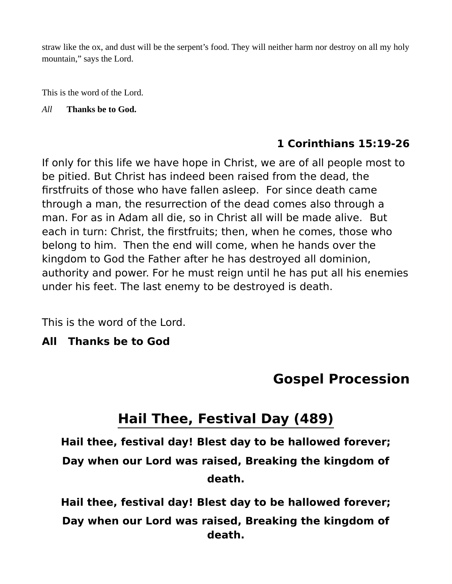straw like the ox, and dust will be the serpent's food. They will neither harm nor destroy on all my holy mountain," says the Lord.

This is the word of the Lord.

*All* **Thanks be to God.**

## **1 Corinthians 15:19-26**

If only for this life we have hope in Christ, we are of all people most to be pitied. But Christ has indeed been raised from the dead, the firstfruits of those who have fallen asleep. For since death came through a man, the resurrection of the dead comes also through a man. For as in Adam all die, so in Christ all will be made alive. But each in turn: Christ, the firstfruits; then, when he comes, those who belong to him. Then the end will come, when he hands over the kingdom to God the Father after he has destroyed all dominion, authority and power. For he must reign until he has put all his enemies under his feet. The last enemy to be destroyed is death.

This is the word of the Lord.

## **All Thanks be to God**

# **Gospel Procession**

# **Hail Thee, Festival Day (489)**

**Hail thee, festival day! Blest day to be hallowed forever; Day when our Lord was raised, Breaking the kingdom of death.**

**Hail thee, festival day! Blest day to be hallowed forever; Day when our Lord was raised, Breaking the kingdom of death.**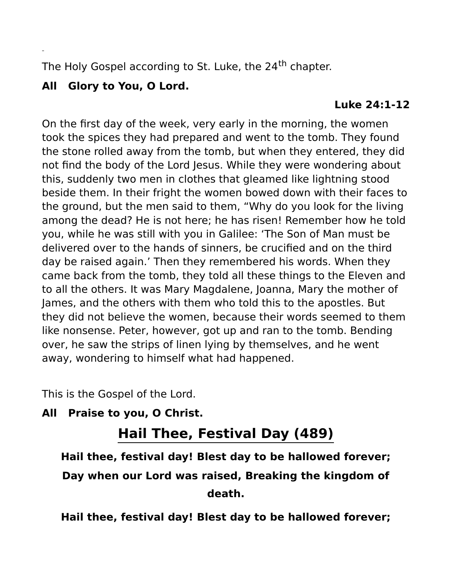The Holy Gospel according to St. Luke, the 24<sup>th</sup> chapter.

#### **All Glory to You, O Lord.**

#### **Luke 24:1-12**

On the first day of the week, very early in the morning, the women took the spices they had prepared and went to the tomb. They found the stone rolled away from the tomb, but when they entered, they did not find the body of the Lord Jesus. While they were wondering about this, suddenly two men in clothes that gleamed like lightning stood beside them. In their fright the women bowed down with their faces to the ground, but the men said to them, "Why do you look for the living among the dead? He is not here; he has risen! Remember how he told you, while he was still with you in Galilee: 'The Son of Man must be delivered over to the hands of sinners, be crucified and on the third day be raised again.' Then they remembered his words. When they came back from the tomb, they told all these things to the Eleven and to all the others. It was Mary Magdalene, Joanna, Mary the mother of James, and the others with them who told this to the apostles. But they did not believe the women, because their words seemed to them like nonsense. Peter, however, got up and ran to the tomb. Bending over, he saw the strips of linen lying by themselves, and he went away, wondering to himself what had happened.

This is the Gospel of the Lord.

## **All Praise to you, O Christ.**

# **Hail Thee, Festival Day (489)**

**Hail thee, festival day! Blest day to be hallowed forever; Day when our Lord was raised, Breaking the kingdom of death.**

**Hail thee, festival day! Blest day to be hallowed forever;**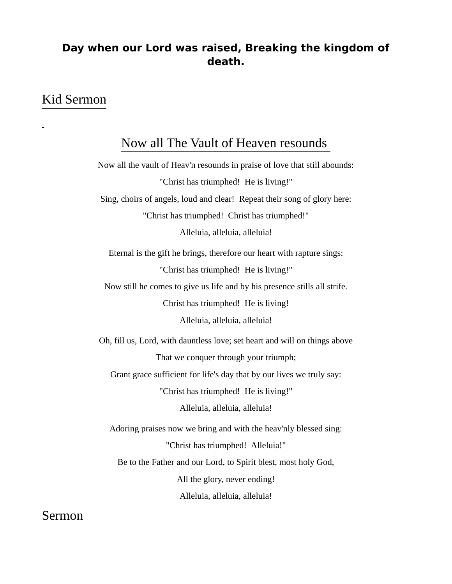#### **Day when our Lord was raised, Breaking the kingdom of death.**

#### Kid Sermon

### Now all The Vault of Heaven resounds

Now all the vault of Heav'n resounds in praise of love that still abounds: "Christ has triumphed! He is living!" Sing, choirs of angels, loud and clear! Repeat their song of glory here: "Christ has triumphed! Christ has triumphed!" Alleluia, alleluia, alleluia! Eternal is the gift he brings, therefore our heart with rapture sings: "Christ has triumphed! He is living!" Now still he comes to give us life and by his presence stills all strife. Christ has triumphed! He is living! Alleluia, alleluia, alleluia! Oh, fill us, Lord, with dauntless love; set heart and will on things above That we conquer through your triumph; Grant grace sufficient for life's day that by our lives we truly say: "Christ has triumphed! He is living!" Alleluia, alleluia, alleluia! Adoring praises now we bring and with the heav'nly blessed sing: "Christ has triumphed! Alleluia!" Be to the Father and our Lord, to Spirit blest, most holy God, All the glory, never ending! Alleluia, alleluia, alleluia!

Sermon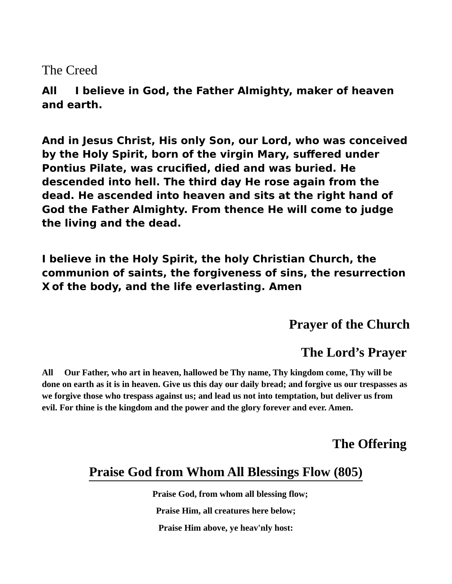#### The Creed

**All I believe in God, the Father Almighty, maker of heaven and earth.**

**And in Jesus Christ, His only Son, our Lord, who was conceived by the Holy Spirit, born of the virgin Mary, suffered under Pontius Pilate, was crucified, died and was buried. He descended into hell. The third day He rose again from the dead. He ascended into heaven and sits at the right hand of God the Father Almighty. From thence He will come to judge the living and the dead.** 

**I believe in the Holy Spirit, the holy Christian Church, the communion of saints, the forgiveness of sins, the resurrection X of the body, and the life everlasting. Amen**

## **Prayer of the Church**

## **The Lord's Prayer**

**All Our Father, who art in heaven, hallowed be Thy name, Thy kingdom come, Thy will be done on earth as it is in heaven. Give us this day our daily bread; and forgive us our trespasses as we forgive those who trespass against us; and lead us not into temptation, but deliver us from evil. For thine is the kingdom and the power and the glory forever and ever. Amen.**

**The Offering** 

# **Praise God from Whom All Blessings Flow (805)**

**Praise God, from whom all blessing flow; Praise Him, all creatures here below; Praise Him above, ye heav'nly host:**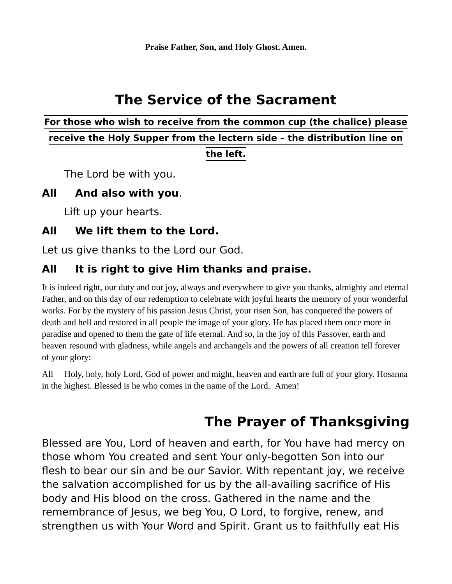# **The Service of the Sacrament**

#### **For those who wish to receive from the common cup (the chalice) please receive the Holy Supper from the lectern side – the distribution line on**

**the left.**

The Lord be with you.

#### **All And also with you**.

Lift up your hearts.

#### **All We lift them to the Lord.**

Let us give thanks to the Lord our God.

### **All It is right to give Him thanks and praise.**

It is indeed right, our duty and our joy, always and everywhere to give you thanks, almighty and eternal Father, and on this day of our redemption to celebrate with joyful hearts the memory of your wonderful works. For by the mystery of his passion Jesus Christ, your risen Son, has conquered the powers of death and hell and restored in all people the image of your glory. He has placed them once more in paradise and opened to them the gate of life eternal. And so, in the joy of this Passover, earth and heaven resound with gladness, while angels and archangels and the powers of all creation tell forever of your glory:

All Holy, holy, holy Lord, God of power and might, heaven and earth are full of your glory. Hosanna in the highest. Blessed is he who comes in the name of the Lord. Amen!

# **The Prayer of Thanksgiving**

Blessed are You, Lord of heaven and earth, for You have had mercy on those whom You created and sent Your only-begotten Son into our flesh to bear our sin and be our Savior. With repentant joy, we receive the salvation accomplished for us by the all-availing sacrifice of His body and His blood on the cross. Gathered in the name and the remembrance of Jesus, we beg You, O Lord, to forgive, renew, and strengthen us with Your Word and Spirit. Grant us to faithfully eat His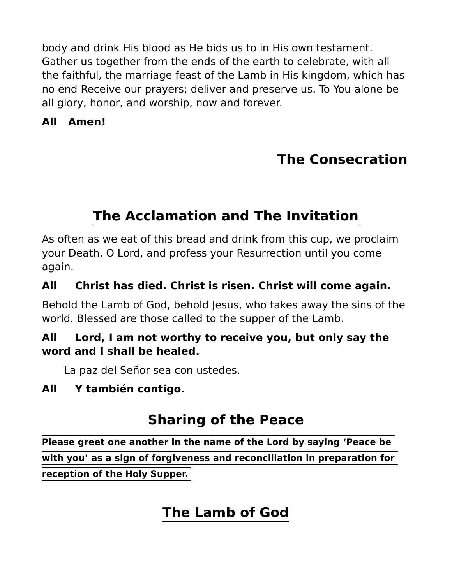body and drink His blood as He bids us to in His own testament. Gather us together from the ends of the earth to celebrate, with all the faithful, the marriage feast of the Lamb in His kingdom, which has no end Receive our prayers; deliver and preserve us. To You alone be all glory, honor, and worship, now and forever.

### **All Amen!**

# **The Consecration**

# **The Acclamation and The Invitation**

As often as we eat of this bread and drink from this cup, we proclaim your Death, O Lord, and profess your Resurrection until you come again.

### **All Christ has died. Christ is risen. Christ will come again.**

Behold the Lamb of God, behold Jesus, who takes away the sins of the world. Blessed are those called to the supper of the Lamb.

### **All Lord, I am not worthy to receive you, but only say the word and I shall be healed.**

La paz del Señor sea con ustedes.

### **All Y también contigo.**

# **Sharing of the Peace**

**Please greet one another in the name of the Lord by saying 'Peace be with you' as a sign of forgiveness and reconciliation in preparation for reception of the Holy Supper.** 

# **The Lamb of God**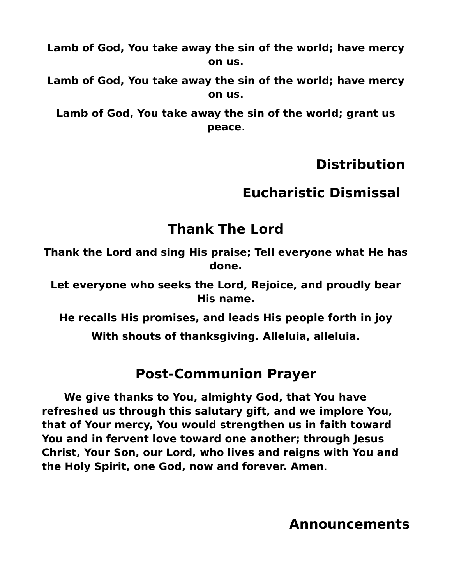**Lamb of God, You take away the sin of the world; have mercy on us.**

**Lamb of God, You take away the sin of the world; have mercy on us.**

**Lamb of God, You take away the sin of the world; grant us peace**.

## **Distribution**

## **Eucharistic Dismissal**

# **Thank The Lord**

**Thank the Lord and sing His praise; Tell everyone what He has done.**

**Let everyone who seeks the Lord, Rejoice, and proudly bear His name.**

**He recalls His promises, and leads His people forth in joy**

**With shouts of thanksgiving. Alleluia, alleluia.**

# **Post-Communion Prayer**

**We give thanks to You, almighty God, that You have refreshed us through this salutary gift, and we implore You, that of Your mercy, You would strengthen us in faith toward You and in fervent love toward one another; through Jesus Christ, Your Son, our Lord, who lives and reigns with You and the Holy Spirit, one God, now and forever. Amen**.

### **Announcements**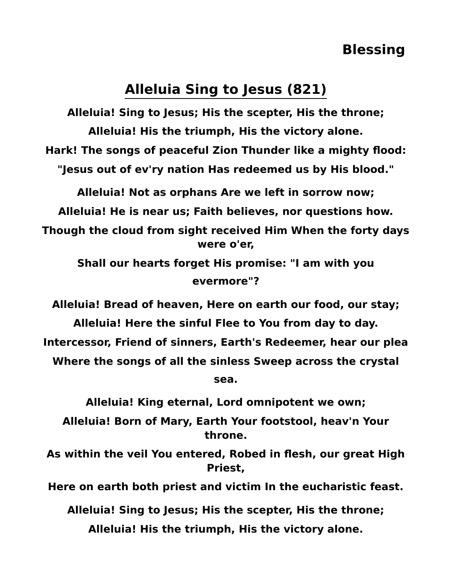## **Alleluia Sing to Jesus (821)**

**Alleluia! Sing to Jesus; His the scepter, His the throne; Alleluia! His the triumph, His the victory alone. Hark! The songs of peaceful Zion Thunder like a mighty flood: "Jesus out of ev'ry nation Has redeemed us by His blood."**

**Alleluia! Not as orphans Are we left in sorrow now;**

**Alleluia! He is near us; Faith believes, nor questions how.**

**Though the cloud from sight received Him When the forty days were o'er,**

**Shall our hearts forget His promise: "I am with you evermore"?**

**Alleluia! Bread of heaven, Here on earth our food, our stay; Alleluia! Here the sinful Flee to You from day to day. Intercessor, Friend of sinners, Earth's Redeemer, hear our plea Where the songs of all the sinless Sweep across the crystal sea.**

**Alleluia! King eternal, Lord omnipotent we own;**

**Alleluia! Born of Mary, Earth Your footstool, heav'n Your throne.**

**As within the veil You entered, Robed in flesh, our great High Priest,**

**Here on earth both priest and victim In the eucharistic feast.**

**Alleluia! Sing to Jesus; His the scepter, His the throne; Alleluia! His the triumph, His the victory alone.**